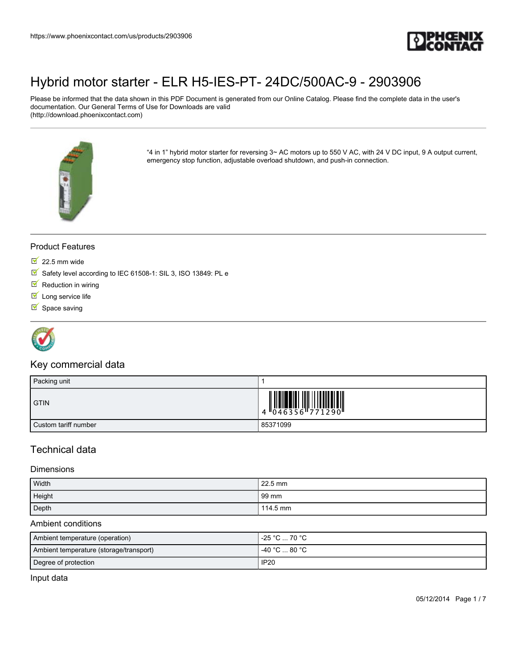

Please be informed that the data shown in this PDF Document is generated from our Online Catalog. Please find the complete data in the user's documentation. Our General Terms of Use for Downloads are valid (http://download.phoenixcontact.com)



"4 in 1" hybrid motor starter for reversing 3~ AC motors up to 550 V AC, with 24 V DC input, 9 A output current, emergency stop function, adjustable overload shutdown, and push-in connection.

### Product Features

- $\overline{\phantom{1}}$  22.5 mm wide
- Safety level according to IEC 61508-1: SIL 3, ISO 13849: PL e
- $\blacksquare$  Reduction in wiring
- $I$  Long service life
- $\blacksquare$  Space saving



### Key commercial data

| Packing unit         |                 |
|----------------------|-----------------|
| <b>GTIN</b>          | 4 046356 771290 |
| Custom tariff number | 85371099        |

### Technical data

#### **Dimensions**

| Width  | 22.5 mm  |
|--------|----------|
| Height | 99 mm    |
| Depth  | 114.5 mm |

#### Ambient conditions

| Ambient temperature (operation)         | -25 °C … 70 °C                                |
|-----------------------------------------|-----------------------------------------------|
| Ambient temperature (storage/transport) | $-40\,^{\circ}\text{C}$ 80 $^{\circ}\text{C}$ |
| Degree of protection                    | <b>IP20</b>                                   |

Input data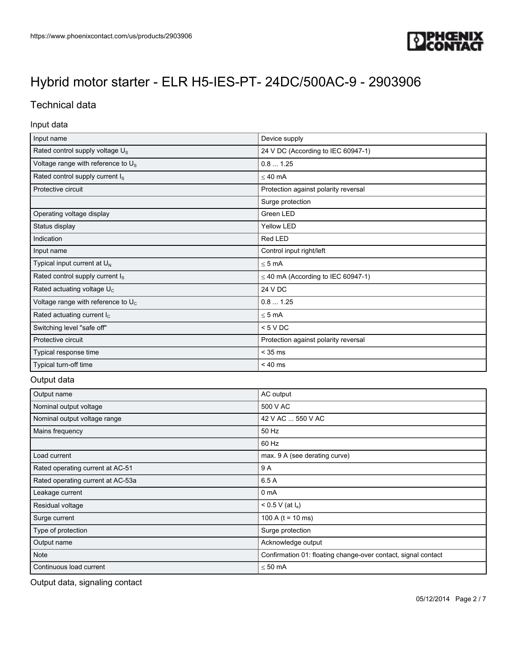

## Technical data

### Input data

| Input name                                     | Device supply                           |  |
|------------------------------------------------|-----------------------------------------|--|
| Rated control supply voltage U <sub>s</sub>    | 24 V DC (According to IEC 60947-1)      |  |
| Voltage range with reference to U <sub>s</sub> | 0.81.25                                 |  |
| Rated control supply current I <sub>s</sub>    | $\leq 40$ mA                            |  |
| Protective circuit                             | Protection against polarity reversal    |  |
|                                                | Surge protection                        |  |
| Operating voltage display                      | Green LED                               |  |
| Status display                                 | <b>Yellow LED</b>                       |  |
| Indication                                     | Red LED                                 |  |
| Input name                                     | Control input right/left                |  |
| Typical input current at U <sub>N</sub>        | $< 5 \text{ mA}$                        |  |
| Rated control supply current I <sub>s</sub>    | $\leq$ 40 mA (According to IEC 60947-1) |  |
| Rated actuating voltage U <sub>c</sub>         | 24 V DC                                 |  |
| Voltage range with reference to $U_c$          | 0.81.25                                 |  |
| Rated actuating current $I_c$                  | $\leq$ 5 mA                             |  |
| Switching level "safe off"                     | < 5 VDC                                 |  |
| Protective circuit                             | Protection against polarity reversal    |  |
| Typical response time                          | $<$ 35 ms                               |  |
| Typical turn-off time                          | $< 40$ ms                               |  |

### Output data

| Output name                       | AC output                                                     |  |
|-----------------------------------|---------------------------------------------------------------|--|
| Nominal output voltage            | 500 V AC                                                      |  |
| Nominal output voltage range      | 42 V AC  550 V AC                                             |  |
| Mains frequency                   | 50 Hz                                                         |  |
|                                   | 60 Hz                                                         |  |
| Load current                      | max. 9 A (see derating curve)                                 |  |
| Rated operating current at AC-51  | 9 A                                                           |  |
| Rated operating current at AC-53a | 6.5 A                                                         |  |
| Leakage current                   | 0 <sub>m</sub> A                                              |  |
| Residual voltage                  | < 0.5 V (at l <sub>e</sub> )                                  |  |
| Surge current                     | 100 A ( $t = 10$ ms)                                          |  |
| Type of protection                | Surge protection                                              |  |
| Output name                       | Acknowledge output                                            |  |
| Note                              | Confirmation 01: floating change-over contact, signal contact |  |
| Continuous load current           | $\leq 50$ mA                                                  |  |

Output data, signaling contact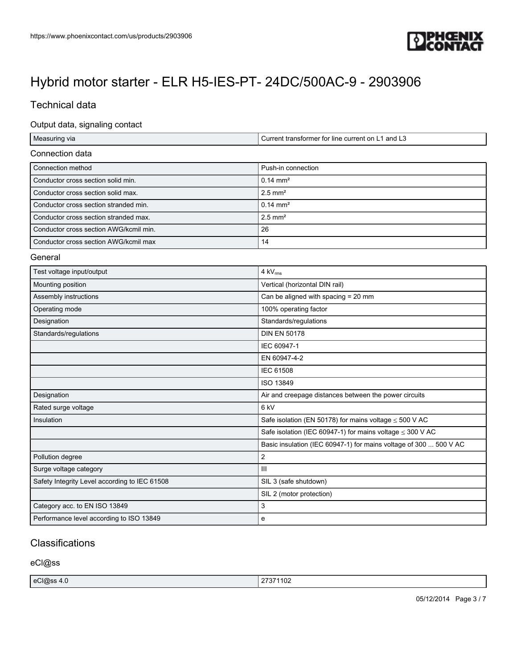

## Technical data

### Output data, signaling contact

| Measuring via                                 | Current transformer for line current on L1 and L3                 |
|-----------------------------------------------|-------------------------------------------------------------------|
| Connection data                               |                                                                   |
| Connection method                             | Push-in connection                                                |
| Conductor cross section solid min.            | $0.14 \, \text{mm}^2$                                             |
| Conductor cross section solid max.            | $2.5$ mm <sup>2</sup>                                             |
| Conductor cross section stranded min.         | $0.14 \, \text{mm}^2$                                             |
| Conductor cross section stranded max.         | $2.5$ mm <sup>2</sup>                                             |
| Conductor cross section AWG/kcmil min.        | 26                                                                |
| Conductor cross section AWG/kcmil max         | 14                                                                |
| General                                       |                                                                   |
| Test voltage input/output                     | $4 \text{ kV}_{\text{rms}}$                                       |
| Mounting position                             | Vertical (horizontal DIN rail)                                    |
| Assembly instructions                         | Can be aligned with spacing = 20 mm                               |
| Operating mode                                | 100% operating factor                                             |
| Designation                                   | Standards/regulations                                             |
| Standards/regulations                         | <b>DIN EN 50178</b>                                               |
|                                               | IEC 60947-1                                                       |
|                                               | EN 60947-4-2                                                      |
|                                               | <b>IEC 61508</b>                                                  |
|                                               | ISO 13849                                                         |
| Designation                                   | Air and creepage distances between the power circuits             |
| Rated surge voltage                           | 6 kV                                                              |
| Insulation                                    | Safe isolation (EN 50178) for mains voltage $\leq$ 500 V AC       |
|                                               | Safe isolation (IEC 60947-1) for mains voltage $\leq$ 300 V AC    |
|                                               | Basic insulation (IEC 60947-1) for mains voltage of 300  500 V AC |
| Pollution degree                              | $\overline{2}$                                                    |
| Surge voltage category                        | Ш                                                                 |
| Safety Integrity Level according to IEC 61508 | SIL 3 (safe shutdown)                                             |
|                                               | SIL 2 (motor protection)                                          |
| Category acc. to EN ISO 13849                 | 3                                                                 |
| Performance level according to ISO 13849      | e                                                                 |

### **Classifications**

eCl@ss

| eCl@ss     |         |
|------------|---------|
| $\sqrt{1}$ | 74400   |
| −.∪        | /3/1102 |
| --         | $-$     |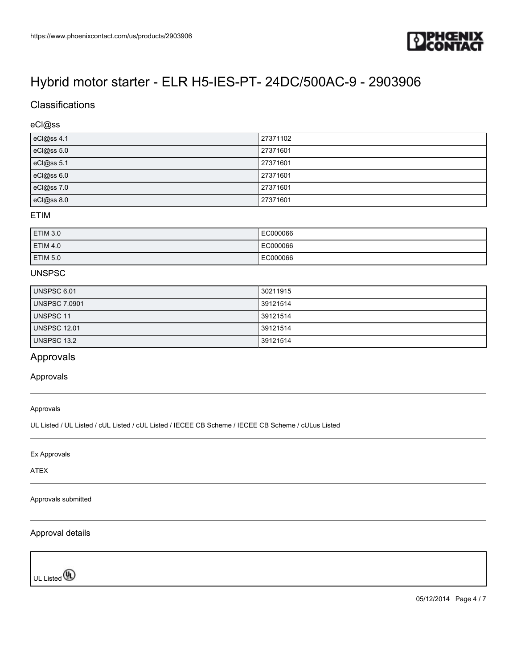

## **Classifications**

### eCl@ss

| eCl@ss 4.1 | 27371102 |
|------------|----------|
| eCl@ss 5.0 | 27371601 |
| eCl@ss 5.1 | 27371601 |
| eCl@ss 6.0 | 27371601 |
| eCl@ss 7.0 | 27371601 |
| eCl@ss 8.0 | 27371601 |

### ETIM

| <b>ETIM 3.0</b> | EC000066 |
|-----------------|----------|
| <b>ETIM 4.0</b> | EC000066 |
| <b>ETIM 5.0</b> | EC000066 |

### UNSPSC

| UNSPSC 6.01          | 30211915 |
|----------------------|----------|
| <b>UNSPSC 7.0901</b> | 39121514 |
| UNSPSC 11            | 39121514 |
| <b>UNSPSC 12.01</b>  | 39121514 |
| UNSPSC 13.2          | 39121514 |

### Approvals

#### Approvals

Approvals

UL Listed / UL Listed / cUL Listed / cUL Listed / IECEE CB Scheme / IECEE CB Scheme / cULus Listed

Ex Approvals

ATEX

Approvals submitted

### Approval details

UL Listed<sup>(0)</sup>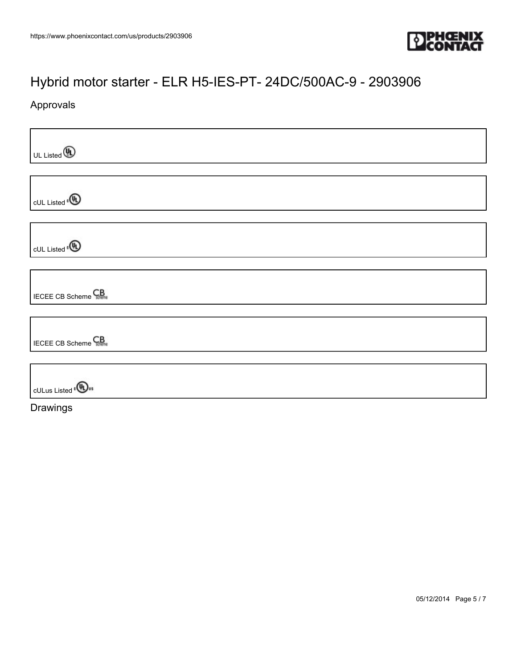

## Approvals

| UL Listed <b>4</b>                    |  |
|---------------------------------------|--|
|                                       |  |
| cUL Listed <sup>e</sup> <sup>(1</sup> |  |
|                                       |  |
| cUL Listed <sup>®</sup>               |  |
|                                       |  |
| <b>IECEE CB Scheme</b>                |  |
|                                       |  |
| <b>IECEE CB Scheme</b> CB             |  |
|                                       |  |
| <b>CULus Listed</b> ( <b>UL</b> us    |  |
| Drawings                              |  |

05/12/2014 Page 5 / 7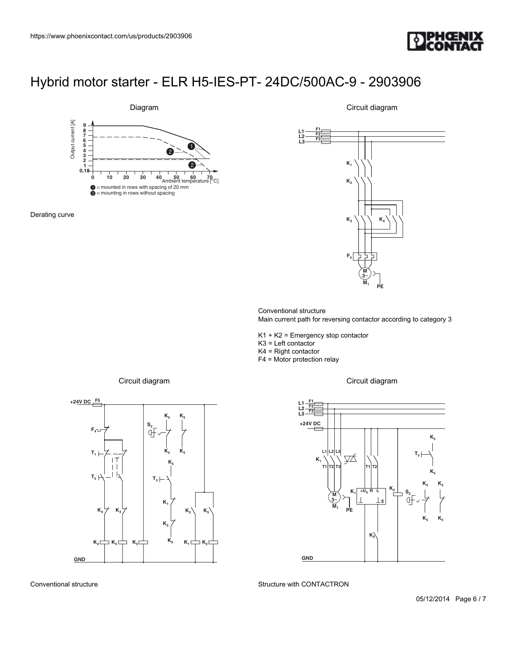



Derating curve

 $\begin{array}{|c|c|c|}\n\hline\n\text{constant}}\n\hline\n\text{top state} - \text{ELR }\text{H5-IES-PT-} \text{24DC/500AC-9 - 2903906} \\
\hline\n\text{Bigam}\n\hline\n\text{Circuit diagram}\n\hline\n\text{Circuit diagram}\n\hline\n\text{Circuit diagram}\n\hline\n\text{Circuit diagram}\n\hline\n\text{Circuit diagram}\n\hline\n\text{Circuit diagram}\n\hline\n\text{Circuit diagram}\n\hline\n\text{Circuit diagram}\n\hline\n\text{Circuit diagram}\n\hline\n\text{Circuit diagram}\n\hline\n\text{Circuit diagram}\n\$ **M 3**~ **M K K2 K3 F4 K4 PE F1 F2 F3 1** 2903906<br> **(a)**<br> **(a)**<br> **(a)**<br> **(a)**<br> **(a)**<br> **(a)**<br>
<br> **(a)**<br> **(a)**<br> **(a)**<br> **(a)**<br> **(a)**<br> **(a)**<br> **(a)**<br> **(a)**<br> **(a)**<br> **(a)**<br> **(a)**<br> **(a)**<br> **(a)**<br> **(a)**<br> **(a)**<br> **(a)**<br> **(a)**<br> **(a)**<br> **(a)**<br> **(a)**<br> **(a)**<br> **(a)**<br> **(a)**<br> **(a T1 T1** AC-9 - 2903906<br>
Circuit diagram<br>
(K. K.)<br>
(K. K.)<br>
(K. K.)<br>
(K. Tangle Strategy)<br>
(E. Tangle Strategy)<br>
(S. Tangle Strategy)<br>
(S. The Property Strategy)<br>
(S. The Property Strategy)<br>
(S. The Property Strategy)<br>
(S. Circuit

Circuit diagram

Conventional structure Main current path for reversing contactor according to category 3

K1 + K2 = Emergency stop contactor

K3 = Left contactor

K4 = Right contactor

F4 = Motor protection relay

**L1 L2 L3**



Circuit diagram

Circuit diagram



Conventional structure

Structure with CONTACTRON

05/12/2014 Page 6 / 7